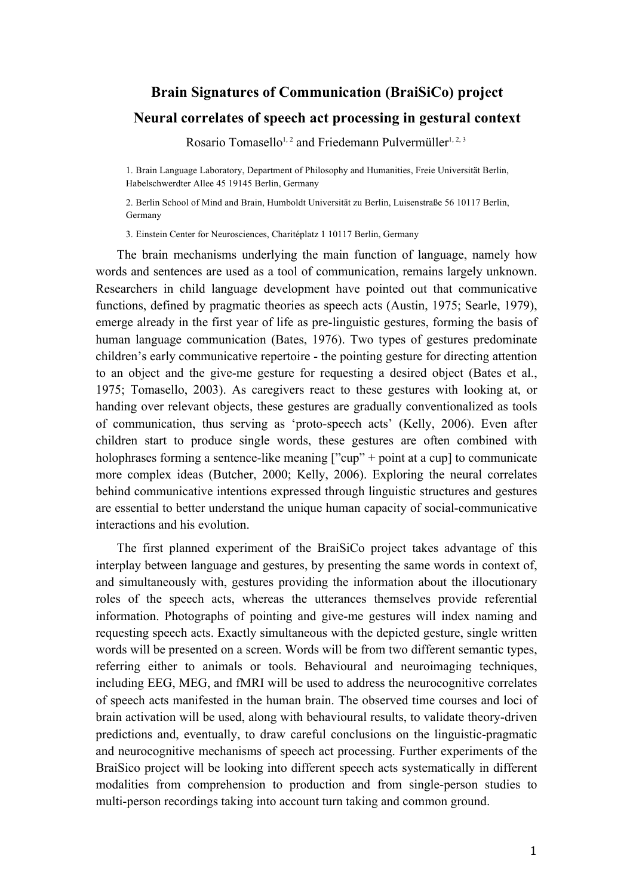## **Brain Signatures of Communication (BraiSiCo) project Neural correlates of speech act processing in gestural context**

Rosario Tomasello<sup>1,2</sup> and Friedemann Pulvermüller<sup>1,2,3</sup>

1. Brain Language Laboratory, Department of Philosophy and Humanities, Freie Universität Berlin, Habelschwerdter Allee 45 19145 Berlin, Germany

2. Berlin School of Mind and Brain, Humboldt Universität zu Berlin, Luisenstraße 56 10117 Berlin, Germany

3. Einstein Center for Neurosciences, Charitéplatz 1 10117 Berlin, Germany

The brain mechanisms underlying the main function of language, namely how words and sentences are used as a tool of communication, remains largely unknown. Researchers in child language development have pointed out that communicative functions, defined by pragmatic theories as speech acts (Austin, 1975; Searle, 1979), emerge already in the first year of life as pre-linguistic gestures, forming the basis of human language communication (Bates, 1976). Two types of gestures predominate children's early communicative repertoire - the pointing gesture for directing attention to an object and the give-me gesture for requesting a desired object (Bates et al., 1975; Tomasello, 2003). As caregivers react to these gestures with looking at, or handing over relevant objects, these gestures are gradually conventionalized as tools of communication, thus serving as 'proto-speech acts' (Kelly, 2006). Even after children start to produce single words, these gestures are often combined with holophrases forming a sentence-like meaning ["cup" + point at a cup] to communicate more complex ideas (Butcher, 2000; Kelly, 2006). Exploring the neural correlates behind communicative intentions expressed through linguistic structures and gestures are essential to better understand the unique human capacity of social-communicative interactions and his evolution.

The first planned experiment of the BraiSiCo project takes advantage of this interplay between language and gestures, by presenting the same words in context of, and simultaneously with, gestures providing the information about the illocutionary roles of the speech acts, whereas the utterances themselves provide referential information. Photographs of pointing and give-me gestures will index naming and requesting speech acts. Exactly simultaneous with the depicted gesture, single written words will be presented on a screen. Words will be from two different semantic types, referring either to animals or tools. Behavioural and neuroimaging techniques, including EEG, MEG, and fMRI will be used to address the neurocognitive correlates of speech acts manifested in the human brain. The observed time courses and loci of brain activation will be used, along with behavioural results, to validate theory-driven predictions and, eventually, to draw careful conclusions on the linguistic-pragmatic and neurocognitive mechanisms of speech act processing. Further experiments of the BraiSico project will be looking into different speech acts systematically in different modalities from comprehension to production and from single-person studies to multi-person recordings taking into account turn taking and common ground.